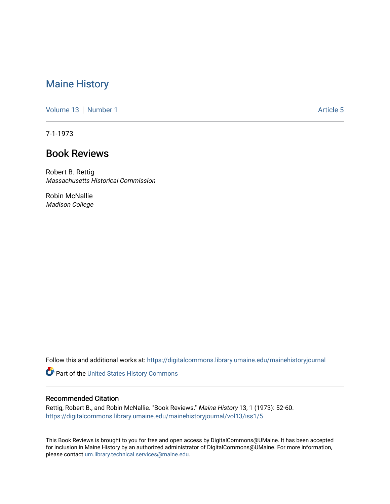# [Maine History](https://digitalcommons.library.umaine.edu/mainehistoryjournal)

[Volume 13](https://digitalcommons.library.umaine.edu/mainehistoryjournal/vol13) [Number 1](https://digitalcommons.library.umaine.edu/mainehistoryjournal/vol13/iss1) Article 5

7-1-1973

# Book Reviews

Robert B. Rettig Massachusetts Historical Commission

Robin McNallie Madison College

Follow this and additional works at: [https://digitalcommons.library.umaine.edu/mainehistoryjournal](https://digitalcommons.library.umaine.edu/mainehistoryjournal?utm_source=digitalcommons.library.umaine.edu%2Fmainehistoryjournal%2Fvol13%2Fiss1%2F5&utm_medium=PDF&utm_campaign=PDFCoverPages) 

Part of the [United States History Commons](http://network.bepress.com/hgg/discipline/495?utm_source=digitalcommons.library.umaine.edu%2Fmainehistoryjournal%2Fvol13%2Fiss1%2F5&utm_medium=PDF&utm_campaign=PDFCoverPages) 

#### Recommended Citation

Rettig, Robert B., and Robin McNallie. "Book Reviews." Maine History 13, 1 (1973): 52-60. [https://digitalcommons.library.umaine.edu/mainehistoryjournal/vol13/iss1/5](https://digitalcommons.library.umaine.edu/mainehistoryjournal/vol13/iss1/5?utm_source=digitalcommons.library.umaine.edu%2Fmainehistoryjournal%2Fvol13%2Fiss1%2F5&utm_medium=PDF&utm_campaign=PDFCoverPages)

This Book Reviews is brought to you for free and open access by DigitalCommons@UMaine. It has been accepted for inclusion in Maine History by an authorized administrator of DigitalCommons@UMaine. For more information, please contact [um.library.technical.services@maine.edu.](mailto:um.library.technical.services@maine.edu)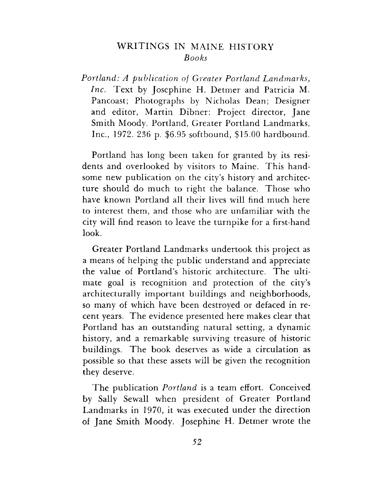### WRITINGS IN MAINE HISTORY *Books*

*Portland: A publication of Greater Portland Landmarks, Inc.* Text by Josephine H. Detmer and Patricia M. Pancoast; Photographs by Nicholas Dean; Designer and editor, Martin Dibner; Project director, Jane Smith Moody. Portland, Greater Portland Landmarks, Inc., 1972. 236 p. \$6.95 softbound, \$15.00 hardbound.

Portland has long been taken for granted by its residents and overlooked by visitors to Maine. This handsome new publication on the city'<sup>s</sup> history and architecture should do much to right the balance. Those who have known Portland all their lives will find much here to interest them, and those who are unfamiliar with the city will find reason to leave the turnpike for a first-hand look.

Greater Portland Landmarks undertook this project as a means of helping the public understand and appreciate the value of Portland'<sup>s</sup> historic architecture. The ultimate goal is recognition and protection of the city'<sup>s</sup> architecturally important buildings and neighborhoods, so many of which have been destroyed or defaced in recent years. The evidence presented here makes clear that Portland has an outstanding natural setting, a dynamic history, and a remarkable surviving treasure of historic buildings. The book deserves as wide a circulation as possible so that these assets will be given the recognition they deserve.

The publication *Portland* is a team effort. Conceived by Sally Sewall when president of Greater Portland Landmarks in 1970, it was executed under the direction of Jane Smith Moody. Josephine H. Detmer wrote the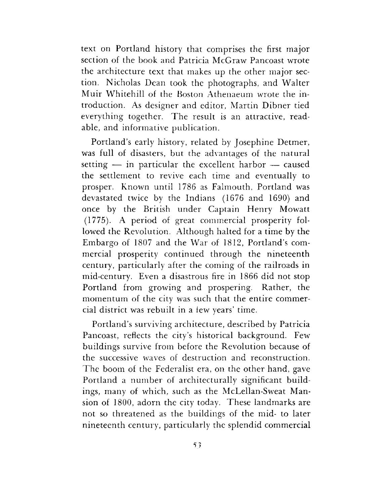text on Portland history that comprises the first major section of the book and Patricia McGraw Pancoast wrote the architecture text that makes up the other major section. Nicholas Dean took the photographs, and Walter Muir Whitehill of the Boston Athenaeum wrote the introduction. As designer and editor, Martin Dibner tied everything together. The result is an attractive, readable, and informative publication.

Portland'<sup>s</sup> early history, related by Josephine Detmer, was full of disasters, but the advantages of the natural setting  $-$  in particular the excellent harbor  $-$  caused the settlement to revive each time and eventually to prosper. Known until 1786 as Falmouth, Portland was devastated twice by the Indians (1676 and 1690) and once by the British under Captain Henry Mowatt (1775). A period of great commercial prosperity followed the Revolution. Although halted for a time by the Embargo of 1807 and the War of 1812, Portland's commercial prosperity continued through the nineteenth century, particularly after the coming of the railroads in mid-century. Even a disastrous fire in 1866 did not stop Portland from growing and prospering. Rather, the momentum of the city was such that the entire commercial district was rebuilt in a few years' time.

Portland'<sup>s</sup> surviving architecture, described by Patricia Pancoast, reflects the city'<sup>s</sup> historical background. Few buildings survive from before the Revolution because of the successive waves of destruction and reconstruction. The boom of the Federalist era, on the other hand, gave Portland a number of architecturally significant buildings, many of which, such as the McLellan-Sweat Mansion of 1800, adorn the city today. These landmarks are not so threatened as the buildings of the mid- to later nineteenth century, particularly the splendid commercial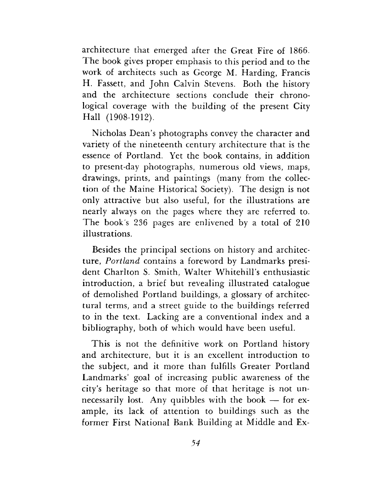architecture that emerged after the Great Fire of 1866. The book gives proper emphasis to this period and to the work of architects such as George M. Harding, Francis H. Fassett, and John Calvin Stevens. Both the history and the architecture sections conclude their chronological coverage with the building of the present City Hall (1908-1912).

Nicholas Dean'<sup>s</sup> photographs convey the character and variety of the nineteenth century architecture that is the essence of Portland. Yet the book contains, in addition to present-day photographs, numerous old views, maps, drawings, prints, and paintings (many from the collection of the Maine Historical Society). The design is not only attractive but also useful, for the illustrations are nearly always on the pages where they are referred to. The book's 236 pages are enlivened by a total of 210 illustrations.

Besides the principal sections on history and architecture, *Portland* contains a foreword by Landmarks president Charlton S. Smith, Walter Whitehill'<sup>s</sup> enthusiastic introduction, a brief but revealing illustrated catalogue of demolished Portland buildings, a glossary of architectural terms, and a street guide to the buildings referred to in the text. Lacking are a conventional index and a bibliography, both of which would have been useful.

This is not the definitive work on Portland history and architecture, but it is an excellent introduction to the subject, and it more than fulfills Greater Portland Landmarks' goal of increasing public awareness of the city'<sup>s</sup> heritage so that more of that heritage is not unnecessarily lost. Any quibbles with the book — for example, its lack of attention to buildings such as the former First National Bank Building at Middle and Ex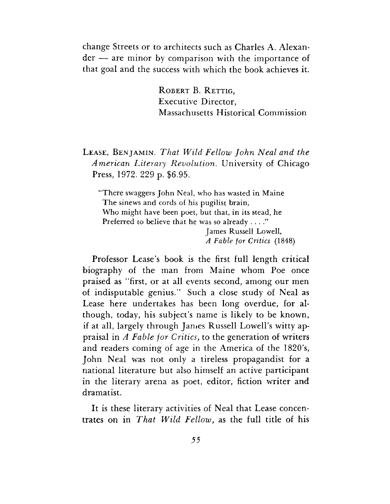change Streets or to architects such as Charles A. Alexander — are minor by comparison with the importance of that goal and the success with which the book achieves it.

> ROBERT B. RETTIG, Executive Director, Massachusetts Historical Commission

### Lease, Benjamin. *That Wild Fellow John Neal and the American Literary Revolution,* University of Chicago Press, 1972. 229 p. \$6.95.

"There swaggers John Neal, who has wasted in Maine The sinews and cords of his pugilist brain, Who might have been poet, but that, in its stead, he Preferred to believe that he was so already . . . ."

James Russell Lowell, *A Fable for Critics* (1848)

Professor Lease'<sup>s</sup> book is the first full length critical biography of the man from Maine whom Poe once praised as "first, or at all events second, among our men of indisputable genius." Such a close study of Neal as Lease here undertakes has been long overdue, for although, today, his subject'<sup>s</sup> name is likely to be known, if at all, largely through Janies Russell Lowell'<sup>s</sup> witty appraisal in *A Fable for Critics,* to the generation of writers and readers coming of age in the America of the 1820's, John Neal was not only a tireless propagandist for a national literature but also himself an active participant in the literary arena as poet, editor, fiction writer and dramatist.

It is these literary activities of Neal that Lease concentrates on in *That Wild Fellow,* as the full title of his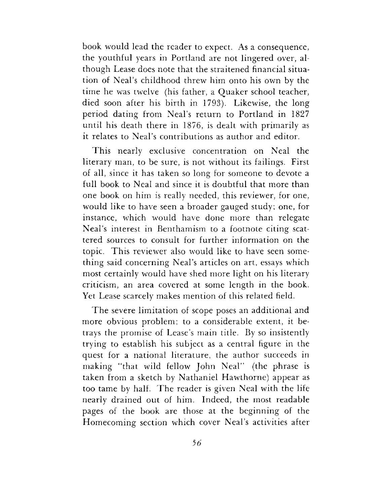book would lead the reader to expect. As a consequence, the youthful years in Portland are not lingered over, although Lease does note that the straitened financial situation of Neal'<sup>s</sup> childhood threw him onto his own by the time he was twelve (his father, a Quaker school teacher, died soon after his birth in 1793). Likewise, the long period dating from Neal'<sup>s</sup> return to Portland in 1827 until his death there in 1876, is dealt with primarily as it relates to Neal'<sup>s</sup> contributions as author and editor.

This nearly exclusive concentration on Neal the literary man, to be sure, is not without its failings. First of all, since it has taken so long for someone to devote a full book to Neal and since it is doubtful that more than one book on him is really needed, this reviewer, for one, would like to have seen a broader gauged study; one, for instance, which would have done more than relegate Neal'<sup>s</sup> interest in Benthamism to a footnote citing scattered sources to consult for further information on the topic. This reviewer also would like to have seen something said concerning Neal'<sup>s</sup> articles on art, essays which most certainly would have shed more light on his literary criticism, an area covered at some length in the book. Yet Lease scarcely makes mention of this related field.

The severe limitation of scope poses an additional and more obvious problem; to a considerable extent, it betrays the promise of Lease'<sup>s</sup> main title. By so insistently trying to establish his subject as a central figure in the quest for a national literature, the author succeeds in making "that wild fellow John Neal'' (the phrase is taken from a sketch by Nathaniel Hawthorne) appear as too tame by half. The reader is given Neal with the life nearly drained out of him. Indeed, the most readable pages of the book are those at the beginning of the Homecoming section which cover Neal'<sup>s</sup> activities after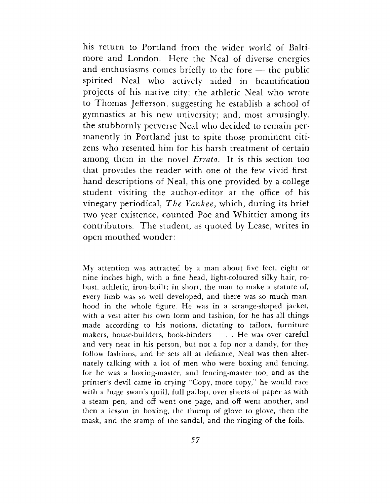his return to Portland from the wider world of Baltimore and London. Here the Neal of diverse energies and enthusiasms comes briefly to the fore — the public spirited Neal who actively aided in beautification projects of his native city; the athletic Neal who wrote to Thomas Jefferson, suggesting he establish a school of gymnastics at his new university; and, most amusingly, the stubbornly perverse Neal who decided to remain permanently in Portland just to spite those prominent citizens who resented him for his harsh treatment of certain among them in the novel *Errata.* It is this section too that provides the reader with one of the few vivid firsthand descriptions of Neal, this one provided by a college student visiting the author-editor at the office of his vinegary periodical, *The Yankee,* which, during its brief two year existence, counted Poe and Whittier among its contributors. The student, as quoted by Lease, writes in open mouthed wonder:

My attention was attracted by a man about five feet, eight or nine inches high, with a fine head, light-coloured silky hair, robust, athletic, iron-built; in short, the man to make a statute of, every limb was so well developed, and there was so much manhood in the whole figure. He was in a strange-shaped jacket, with a vest after his own form and fashion, for he has all things made according to his notions, dictating to tailors, furniture makers, house-builders, book-binders . . He was over careful and very neat in his person, but not a fop nor a dandy, for they follow fashions, and he sets all at defiance. Neal was then alternately talking with a lot of men who were boxing and fencing, for he was a boxing-master, and fencing-master too, and as the printer's devil came in crying "Copy, more copy," he would race with a huge swan'<sup>s</sup> quill, full gallop, over sheets of paper as with a steam pen, and off went one page, and off went another, and then a lesson in boxing, the thump of glove to glove, then the mask, and the stamp of the sandal, and the ringing of the foils.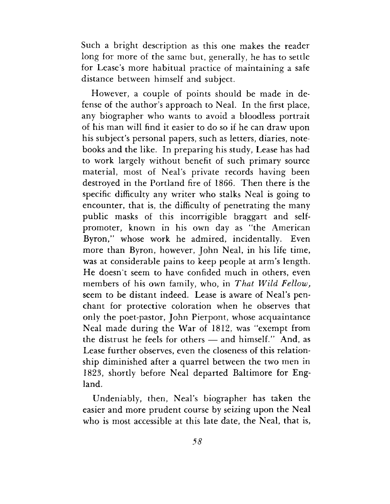Such a bright description as this one makes the reader long for more of the same but, generally, he has to settle for Lease'<sup>s</sup> more habitual practice of maintaining a safe distance between himself and subject.

However, a couple of points should be made in defense of the author'<sup>s</sup> approach to Neal. In the first place, any biographer who wants to avoid a bloodless portrait of his man will find it easier to do so if he can draw upon his subject'<sup>s</sup> personal papers, such as letters, diaries, notebooks and the like. In preparing his study, Lease has had to work largely without benefit of such primary source material, most of Neal'<sup>s</sup> private records having been destroyed in the Portland fire of 1866. Then there is the specific difficulty any writer who stalks Neal is going to encounter, that is, the difficulty of penetrating the many public masks of this incorrigible braggart and selfpromoter, known in his own day as "the American Byron," whose work he admired, incidentally. Even more than Byron, however, John Neal, in his life time, was at considerable pains to keep people at arm'<sup>s</sup> length. He doesn't seem to have confided much in others, even members of his own family, who, in *That Wild Fellow,* seem to be distant indeed. Lease is aware of Neal'<sup>s</sup> penchant for protective coloration when he observes that only the poet-pastor, John Pierpont, whose acquaintance Neal made during the War of 1812, was "exempt from the distrust he feels for others — and himself." And, as Lease further observes, even the closeness of this relationship diminished after a quarrel between the two men in 1823, shortly before Neal departed Baltimore for England.

Undeniably, then, Neal'<sup>s</sup> biographer has taken the easier and more prudent course by seizing upon the Neal who is most accessible at this late date, the Neal, that is,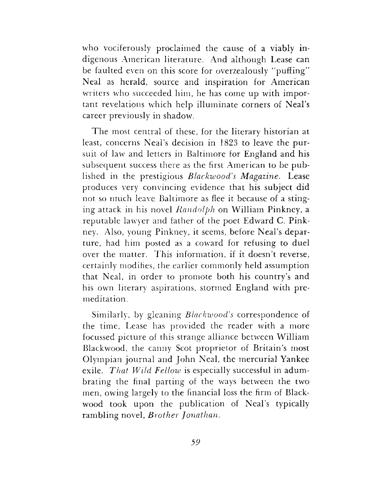who vociferously proclaimed the cause of a viably indigenous American literature. And although Lease can be faulted even on this score for overzealously "puffing" Neal as herald, source and inspiration for American writers who succeeded him, he has come up with important revelations which help illuminate corners of Neal'<sup>s</sup> career previously in shadow.

The most central of these, for the literary historian at least, concerns Neal'<sup>s</sup> decision in 1823 to leave the pursuit of law and letters in Baltimore for England and his subsequent success there as the first American to be published in the prestigious *Blackwood's Magazine.* Lease produces very convincing evidence that his subject did not so much leave Baltimore as flee it because of a stinging attack in his novel *Randolph* on William Pinkney, a reputable lawyer and father of the poet Edward C. Pinkney. Also, young Pinkney, it seems, before Neal'<sup>s</sup> departure, had him posted as a coward for refusing to duel over the matter. This information, if it doesn't reverse, certainly modifies, the earlier commonly held assumption that Neal, in order to promote both his country'<sup>s</sup> and his own literary aspirations, stormed England with premeditation.

Similarly, by gleaning *Blackwood's* correspondence of the time, Lease has provided the reader with a more focussed picture of this strange alliance between William Blackwood, the canny Scot proprietor of Britain'<sup>s</sup> most Olympian journal and John Neal, the mercurial Yankee exile. *That Wild Fellow* is especially successful in adumbrating the final parting of the ways between the two men, owing largely to the financial loss the firm of Blackwood took upon the publication of Neal'<sup>s</sup> typically rambling novel, *Brother Jonathan.*